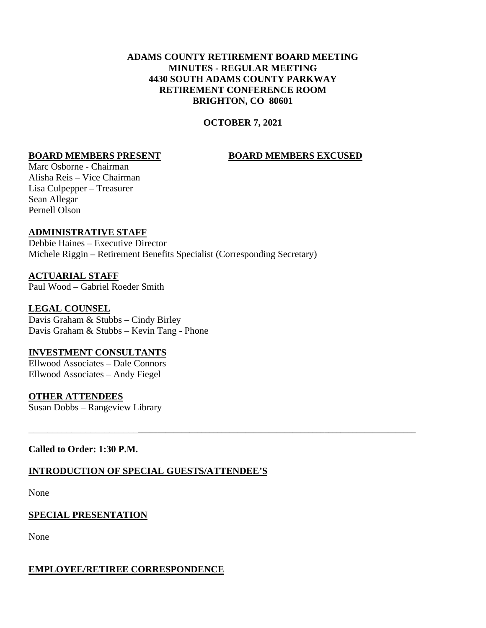#### **ADAMS COUNTY RETIREMENT BOARD MEETING MINUTES - REGULAR MEETING 4430 SOUTH ADAMS COUNTY PARKWAY RETIREMENT CONFERENCE ROOM BRIGHTON, CO 80601**

#### **OCTOBER 7, 2021**

\_\_\_\_\_\_\_\_\_\_\_\_\_\_\_\_\_\_\_\_\_\_\_\_\_\_\_\_\_\_\_\_\_\_\_\_\_\_\_\_\_\_\_\_\_\_\_\_\_\_\_\_\_\_\_\_\_\_\_\_\_\_\_\_\_\_\_\_\_\_\_\_\_\_\_\_\_\_\_\_\_\_\_\_\_\_\_\_\_\_\_\_\_

#### **BOARD MEMBERS PRESENT BOARD MEMBERS EXCUSED**

Marc Osborne - Chairman Alisha Reis – Vice Chairman Lisa Culpepper – Treasurer Sean Allegar Pernell Olson

#### **ADMINISTRATIVE STAFF**

Debbie Haines – Executive Director Michele Riggin – Retirement Benefits Specialist (Corresponding Secretary)

# **ACTUARIAL STAFF**

Paul Wood – Gabriel Roeder Smith

#### **LEGAL COUNSEL**

Davis Graham & Stubbs – Cindy Birley Davis Graham & Stubbs – Kevin Tang - Phone

#### **INVESTMENT CONSULTANTS**

Ellwood Associates – Dale Connors Ellwood Associates – Andy Fiegel

#### **OTHER ATTENDEES**

Susan Dobbs – Rangeview Library

#### **Called to Order: 1:30 P.M.**

## **INTRODUCTION OF SPECIAL GUESTS/ATTENDEE'S**

None

## **SPECIAL PRESENTATION**

None

#### **EMPLOYEE/RETIREE CORRESPONDENCE**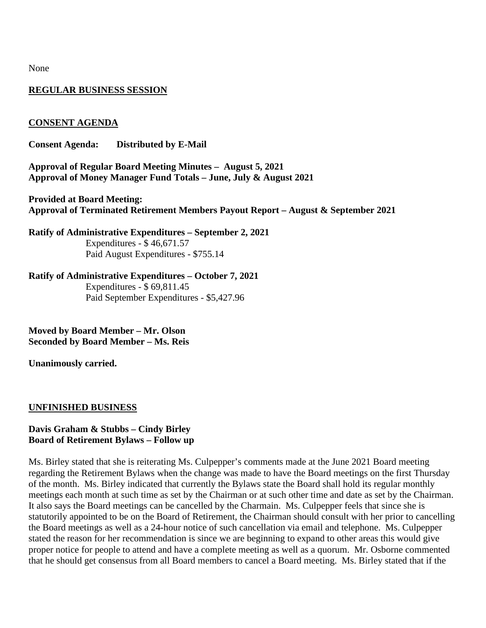None

#### **REGULAR BUSINESS SESSION**

#### **CONSENT AGENDA**

**Consent Agenda: Distributed by E-Mail**

**Approval of Regular Board Meeting Minutes – August 5, 2021 Approval of Money Manager Fund Totals – June, July & August 2021**

**Provided at Board Meeting: Approval of Terminated Retirement Members Payout Report – August & September 2021**

**Ratify of Administrative Expenditures – September 2, 2021**  Expenditures - \$ 46,671.57 Paid August Expenditures - \$755.14

**Ratify of Administrative Expenditures – October 7, 2021**  Expenditures - \$ 69,811.45 Paid September Expenditures - \$5,427.96

**Moved by Board Member – Mr. Olson Seconded by Board Member – Ms. Reis**

**Unanimously carried.**

#### **UNFINISHED BUSINESS**

#### **Davis Graham & Stubbs – Cindy Birley Board of Retirement Bylaws – Follow up**

Ms. Birley stated that she is reiterating Ms. Culpepper's comments made at the June 2021 Board meeting regarding the Retirement Bylaws when the change was made to have the Board meetings on the first Thursday of the month. Ms. Birley indicated that currently the Bylaws state the Board shall hold its regular monthly meetings each month at such time as set by the Chairman or at such other time and date as set by the Chairman. It also says the Board meetings can be cancelled by the Charmain. Ms. Culpepper feels that since she is statutorily appointed to be on the Board of Retirement, the Chairman should consult with her prior to cancelling the Board meetings as well as a 24-hour notice of such cancellation via email and telephone. Ms. Culpepper stated the reason for her recommendation is since we are beginning to expand to other areas this would give proper notice for people to attend and have a complete meeting as well as a quorum. Mr. Osborne commented that he should get consensus from all Board members to cancel a Board meeting. Ms. Birley stated that if the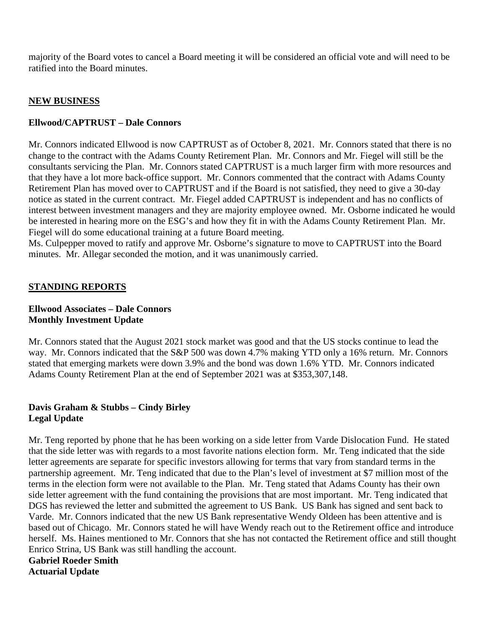majority of the Board votes to cancel a Board meeting it will be considered an official vote and will need to be ratified into the Board minutes.

#### **NEW BUSINESS**

#### **Ellwood/CAPTRUST – Dale Connors**

Mr. Connors indicated Ellwood is now CAPTRUST as of October 8, 2021. Mr. Connors stated that there is no change to the contract with the Adams County Retirement Plan. Mr. Connors and Mr. Fiegel will still be the consultants servicing the Plan. Mr. Connors stated CAPTRUST is a much larger firm with more resources and that they have a lot more back-office support. Mr. Connors commented that the contract with Adams County Retirement Plan has moved over to CAPTRUST and if the Board is not satisfied, they need to give a 30-day notice as stated in the current contract. Mr. Fiegel added CAPTRUST is independent and has no conflicts of interest between investment managers and they are majority employee owned. Mr. Osborne indicated he would be interested in hearing more on the ESG's and how they fit in with the Adams County Retirement Plan. Mr. Fiegel will do some educational training at a future Board meeting.

Ms. Culpepper moved to ratify and approve Mr. Osborne's signature to move to CAPTRUST into the Board minutes. Mr. Allegar seconded the motion, and it was unanimously carried.

#### **STANDING REPORTS**

#### **Ellwood Associates – Dale Connors Monthly Investment Update**

Mr. Connors stated that the August 2021 stock market was good and that the US stocks continue to lead the way. Mr. Connors indicated that the S&P 500 was down 4.7% making YTD only a 16% return. Mr. Connors stated that emerging markets were down 3.9% and the bond was down 1.6% YTD. Mr. Connors indicated Adams County Retirement Plan at the end of September 2021 was at \$353,307,148.

#### **Davis Graham & Stubbs – Cindy Birley Legal Update**

Mr. Teng reported by phone that he has been working on a side letter from Varde Dislocation Fund. He stated that the side letter was with regards to a most favorite nations election form. Mr. Teng indicated that the side letter agreements are separate for specific investors allowing for terms that vary from standard terms in the partnership agreement. Mr. Teng indicated that due to the Plan's level of investment at \$7 million most of the terms in the election form were not available to the Plan. Mr. Teng stated that Adams County has their own side letter agreement with the fund containing the provisions that are most important. Mr. Teng indicated that DGS has reviewed the letter and submitted the agreement to US Bank. US Bank has signed and sent back to Varde. Mr. Connors indicated that the new US Bank representative Wendy Oldeen has been attentive and is based out of Chicago. Mr. Connors stated he will have Wendy reach out to the Retirement office and introduce herself. Ms. Haines mentioned to Mr. Connors that she has not contacted the Retirement office and still thought Enrico Strina, US Bank was still handling the account.

# **Gabriel Roeder Smith**

**Actuarial Update**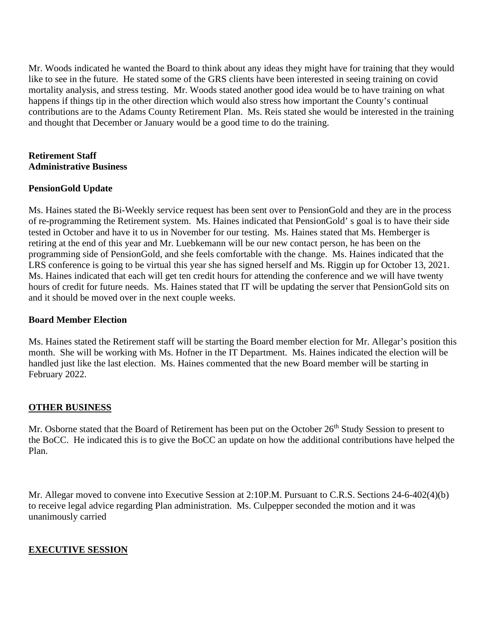Mr. Woods indicated he wanted the Board to think about any ideas they might have for training that they would like to see in the future. He stated some of the GRS clients have been interested in seeing training on covid mortality analysis, and stress testing. Mr. Woods stated another good idea would be to have training on what happens if things tip in the other direction which would also stress how important the County's continual contributions are to the Adams County Retirement Plan. Ms. Reis stated she would be interested in the training and thought that December or January would be a good time to do the training.

#### **Retirement Staff Administrative Business**

#### **PensionGold Update**

Ms. Haines stated the Bi-Weekly service request has been sent over to PensionGold and they are in the process of re-programming the Retirement system. Ms. Haines indicated that PensionGold' s goal is to have their side tested in October and have it to us in November for our testing. Ms. Haines stated that Ms. Hemberger is retiring at the end of this year and Mr. Luebkemann will be our new contact person, he has been on the programming side of PensionGold, and she feels comfortable with the change. Ms. Haines indicated that the LRS conference is going to be virtual this year she has signed herself and Ms. Riggin up for October 13, 2021. Ms. Haines indicated that each will get ten credit hours for attending the conference and we will have twenty hours of credit for future needs. Ms. Haines stated that IT will be updating the server that PensionGold sits on and it should be moved over in the next couple weeks.

#### **Board Member Election**

Ms. Haines stated the Retirement staff will be starting the Board member election for Mr. Allegar's position this month. She will be working with Ms. Hofner in the IT Department. Ms. Haines indicated the election will be handled just like the last election. Ms. Haines commented that the new Board member will be starting in February 2022.

#### **OTHER BUSINESS**

Mr. Osborne stated that the Board of Retirement has been put on the October 26<sup>th</sup> Study Session to present to the BoCC. He indicated this is to give the BoCC an update on how the additional contributions have helped the Plan.

Mr. Allegar moved to convene into Executive Session at 2:10P.M. Pursuant to C.R.S. Sections 24-6-402(4)(b) to receive legal advice regarding Plan administration. Ms. Culpepper seconded the motion and it was unanimously carried

#### **EXECUTIVE SESSION**